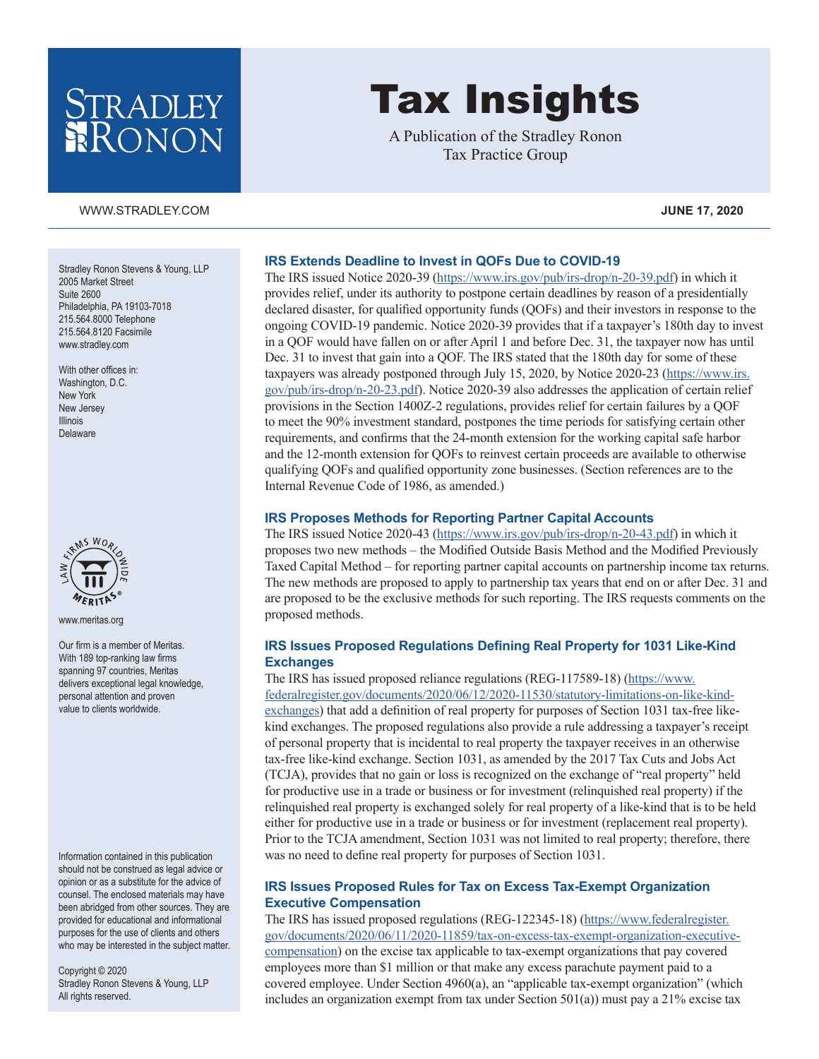# STRADLEY RONON

#### [WWW.STRADLEY.COM](www.stradley.com) **JUNE 17, 2020**

Stradley Ronon Stevens & Young, LLP 2005 Market Street Suite 2600 Philadelphia, PA 19103-7018 215.564.8000 Telephone 215.564.8120 Facsimile [www.stradley.com](http://www.stradley.com)

With other offices in: Washington, D.C. New York New Jersey Illinois Delaware



[www.meritas.org](http://www.meritas.org)

Our firm is a member of Meritas. With 189 top-ranking law firms spanning 97 countries, Meritas delivers exceptional legal knowledge, personal attention and proven value to clients worldwide.

Information contained in this publication should not be construed as legal advice or opinion or as a substitute for the advice of counsel. The enclosed materials may have been abridged from other sources. They are provided for educational and informational purposes for the use of clients and others who may be interested in the subject matter.

Copyright © 2020 Stradley Ronon Stevens & Young, LLP All rights reserved.

# Tax Insights

A Publication of the Stradley Ronon Tax Practice Group

# **IRS Extends Deadline to Invest in QOFs Due to COVID-19**

The IRS issued Notice 2020-39 ([https://www.irs.gov/pub/irs-drop/n-20-39.pdf\)](https://www.irs.gov/pub/irs-drop/n-20-39.pdf) in which it provides relief, under its authority to postpone certain deadlines by reason of a presidentially declared disaster, for qualified opportunity funds (QOFs) and their investors in response to the ongoing COVID-19 pandemic. Notice 2020-39 provides that if a taxpayer's 180th day to invest in a QOF would have fallen on or after April 1 and before Dec. 31, the taxpayer now has until Dec. 31 to invest that gain into a QOF. The IRS stated that the 180th day for some of these taxpayers was already postponed through July 15, 2020, by Notice 2020-23 ([https://www.irs.](https://www.irs.gov/pub/irs-drop/n-20-23.pdf) [gov/pub/irs-drop/n-20-23.pdf\)](https://www.irs.gov/pub/irs-drop/n-20-23.pdf). Notice 2020-39 also addresses the application of certain relief provisions in the Section 1400Z-2 regulations, provides relief for certain failures by a QOF to meet the 90% investment standard, postpones the time periods for satisfying certain other requirements, and confirms that the 24-month extension for the working capital safe harbor and the 12-month extension for QOFs to reinvest certain proceeds are available to otherwise qualifying QOFs and qualified opportunity zone businesses. (Section references are to the Internal Revenue Code of 1986, as amended.)

#### **IRS Proposes Methods for Reporting Partner Capital Accounts**

The IRS issued Notice 2020-43 (<https://www.irs.gov/pub/irs-drop/n-20-43.pdf>) in which it proposes two new methods – the Modified Outside Basis Method and the Modified Previously Taxed Capital Method – for reporting partner capital accounts on partnership income tax returns. The new methods are proposed to apply to partnership tax years that end on or after Dec. 31 and are proposed to be the exclusive methods for such reporting. The IRS requests comments on the proposed methods.

#### **IRS Issues Proposed Regulations Defining Real Property for 1031 Like-Kind Exchanges**

The IRS has issued proposed reliance regulations (REG-117589-18) ([https://www.](https://www.federalregister.gov/documents/2020/06/12/2020-11530/statutory-limitations-on-like-kind-exchanges) [federalregister.gov/documents/2020/06/12/2020-11530/statutory-limitations-on-like-kind](https://www.federalregister.gov/documents/2020/06/12/2020-11530/statutory-limitations-on-like-kind-exchanges)[exchanges\)](https://www.federalregister.gov/documents/2020/06/12/2020-11530/statutory-limitations-on-like-kind-exchanges) that add a definition of real property for purposes of Section 1031 tax-free likekind exchanges. The proposed regulations also provide a rule addressing a taxpayer's receipt of personal property that is incidental to real property the taxpayer receives in an otherwise tax-free like-kind exchange. Section 1031, as amended by the 2017 Tax Cuts and Jobs Act (TCJA), provides that no gain or loss is recognized on the exchange of "real property" held for productive use in a trade or business or for investment (relinquished real property) if the relinquished real property is exchanged solely for real property of a like-kind that is to be held either for productive use in a trade or business or for investment (replacement real property). Prior to the TCJA amendment, Section 1031 was not limited to real property; therefore, there was no need to define real property for purposes of Section 1031.

# **IRS Issues Proposed Rules for Tax on Excess Tax-Exempt Organization Executive Compensation**

The IRS has issued proposed regulations (REG-122345-18) ([https://www.federalregister.](https://www.federalregister.gov/documents/2020/06/11/2020-11859/tax-on-excess-tax-exempt-organization-executive-compensation) [gov/documents/2020/06/11/2020-11859/tax-on-excess-tax-exempt-organization-executive](https://www.federalregister.gov/documents/2020/06/11/2020-11859/tax-on-excess-tax-exempt-organization-executive-compensation)[compensation](https://www.federalregister.gov/documents/2020/06/11/2020-11859/tax-on-excess-tax-exempt-organization-executive-compensation)) on the excise tax applicable to tax-exempt organizations that pay covered employees more than \$1 million or that make any excess parachute payment paid to a covered employee. Under Section 4960(a), an "applicable tax-exempt organization" (which includes an organization exempt from tax under Section  $501(a)$ ) must pay a  $21\%$  excise tax